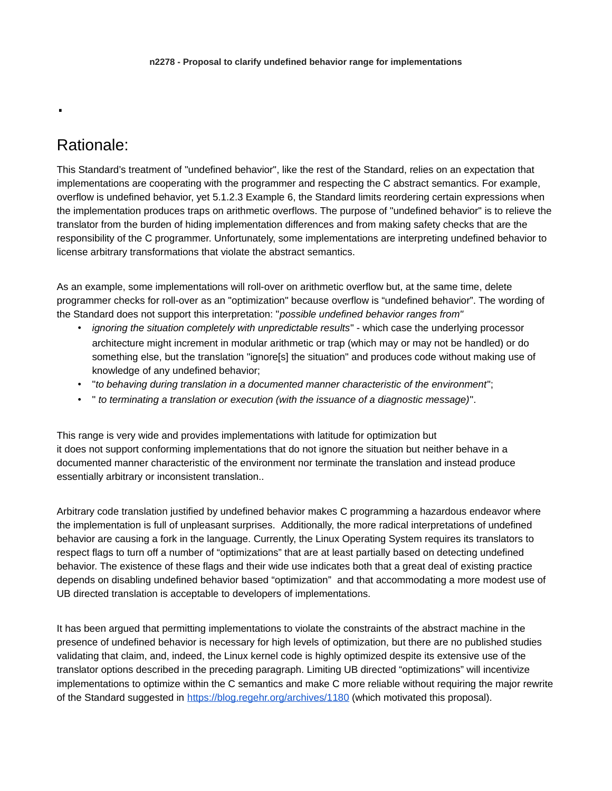## Rationale:

.

This Standard's treatment of "undefined behavior", like the rest of the Standard, relies on an expectation that implementations are cooperating with the programmer and respecting the C abstract semantics. For example, overflow is undefined behavior, yet 5.1.2.3 Example 6, the Standard limits reordering certain expressions when the implementation produces traps on arithmetic overflows. The purpose of "undefined behavior" is to relieve the translator from the burden of hiding implementation differences and from making safety checks that are the responsibility of the C programmer. Unfortunately, some implementations are interpreting undefined behavior to license arbitrary transformations that violate the abstract semantics.

As an example, some implementations will roll-over on arithmetic overflow but, at the same time, delete programmer checks for roll-over as an "optimization" because overflow is "undefined behavior". The wording of the Standard does not support this interpretation: "*possible undefined behavior ranges from"*

- *ignoring the situation completely with unpredictable results*" which case the underlying processor architecture might increment in modular arithmetic or trap (which may or may not be handled) or do something else, but the translation "ignore[s] the situation" and produces code without making use of knowledge of any undefined behavior;
- "*to behaving during translation in a documented manner characteristic of the environment*";
- " *to terminating a translation or execution (with the issuance of a diagnostic message)*".

This range is very wide and provides implementations with latitude for optimization but it does not support conforming implementations that do not ignore the situation but neither behave in a documented manner characteristic of the environment nor terminate the translation and instead produce essentially arbitrary or inconsistent translation..

Arbitrary code translation justified by undefined behavior makes C programming a hazardous endeavor where the implementation is full of unpleasant surprises. Additionally, the more radical interpretations of undefined behavior are causing a fork in the language. Currently, the Linux Operating System requires its translators to respect flags to turn off a number of "optimizations" that are at least partially based on detecting undefined behavior. The existence of these flags and their wide use indicates both that a great deal of existing practice depends on disabling undefined behavior based "optimization" and that accommodating a more modest use of UB directed translation is acceptable to developers of implementations.

It has been argued that permitting implementations to violate the constraints of the abstract machine in the presence of undefined behavior is necessary for high levels of optimization, but there are no published studies validating that claim, and, indeed, the Linux kernel code is highly optimized despite its extensive use of the translator options described in the preceding paragraph. Limiting UB directed "optimizations" will incentivize implementations to optimize within the C semantics and make C more reliable without requiring the major rewrite of the Standard suggested in<https://blog.regehr.org/archives/1180> (which motivated this proposal).